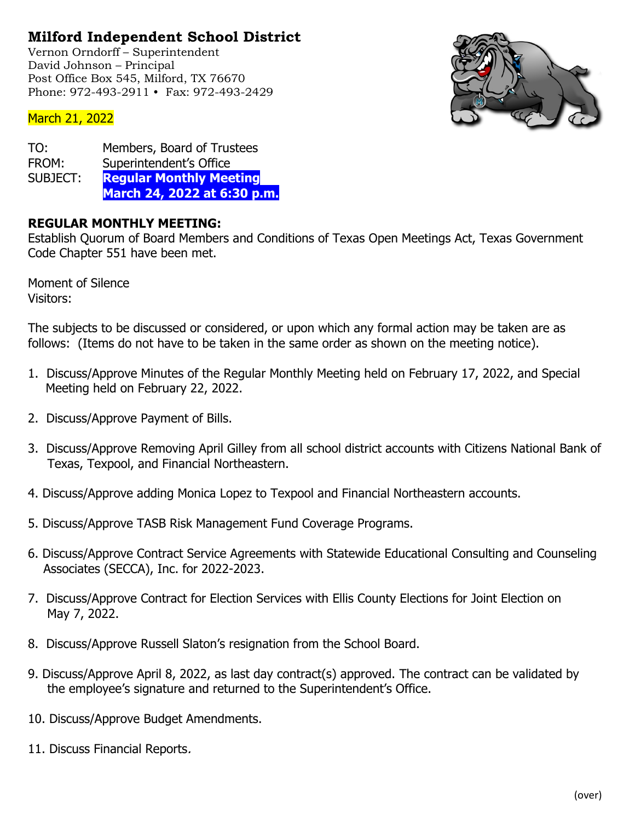## **Milford Independent School District**

Vernon Orndorff – Superintendent David Johnson – Principal Post Office Box 545, Milford, TX 76670 Phone: 972-493-2911 • Fax: 972-493-2429



## March 21, 2022

| TO:      | Members, Board of Trustees     |
|----------|--------------------------------|
| FROM:    | Superintendent's Office        |
| SUBJECT: | <b>Regular Monthly Meeting</b> |
|          | March 24, 2022 at 6:30 p.m.    |

## **REGULAR MONTHLY MEETING:**

Establish Quorum of Board Members and Conditions of Texas Open Meetings Act, Texas Government Code Chapter 551 have been met.

Moment of Silence Visitors:

The subjects to be discussed or considered, or upon which any formal action may be taken are as follows: (Items do not have to be taken in the same order as shown on the meeting notice).

- 1. Discuss/Approve Minutes of the Regular Monthly Meeting held on February 17, 2022, and Special Meeting held on February 22, 2022.
- 2. Discuss/Approve Payment of Bills.
- 3. Discuss/Approve Removing April Gilley from all school district accounts with Citizens National Bank of Texas, Texpool, and Financial Northeastern.
- 4. Discuss/Approve adding Monica Lopez to Texpool and Financial Northeastern accounts.
- 5. Discuss/Approve TASB Risk Management Fund Coverage Programs.
- 6. Discuss/Approve Contract Service Agreements with Statewide Educational Consulting and Counseling Associates (SECCA), Inc. for 2022-2023.
- 7. Discuss/Approve Contract for Election Services with Ellis County Elections for Joint Election on May 7, 2022.
- 8. Discuss/Approve Russell Slaton's resignation from the School Board.
- 9. Discuss/Approve April 8, 2022, as last day contract(s) approved. The contract can be validated by the employee's signature and returned to the Superintendent's Office.
- 10. Discuss/Approve Budget Amendments.
- 11. Discuss Financial Reports.